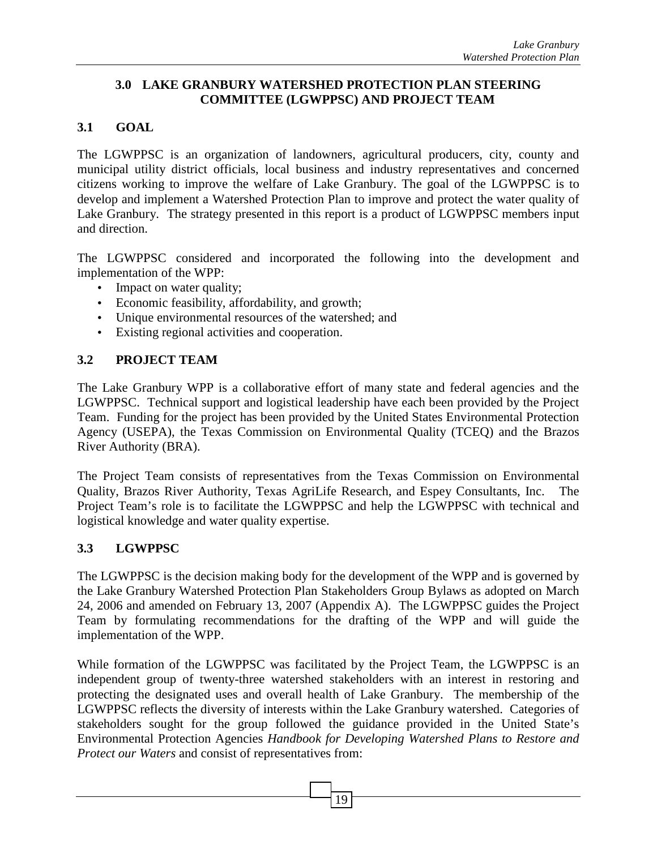#### **3.0 LAKE GRANBURY WATERSHED PROTECTION PLAN STEERING COMMITTEE (LGWPPSC) AND PROJECT TEAM**

# **3.1 GOAL**

The LGWPPSC is an organization of landowners, agricultural producers, city, county and municipal utility district officials, local business and industry representatives and concerned citizens working to improve the welfare of Lake Granbury. The goal of the LGWPPSC is to develop and implement a Watershed Protection Plan to improve and protect the water quality of Lake Granbury. The strategy presented in this report is a product of LGWPPSC members input and direction.

The LGWPPSC considered and incorporated the following into the development and implementation of the WPP:

- Impact on water quality;
- Economic feasibility, affordability, and growth;
- Unique environmental resources of the watershed; and
- Existing regional activities and cooperation.

## **3.2 PROJECT TEAM**

The Lake Granbury WPP is a collaborative effort of many state and federal agencies and the LGWPPSC. Technical support and logistical leadership have each been provided by the Project Team. Funding for the project has been provided by the United States Environmental Protection Agency (USEPA), the Texas Commission on Environmental Quality (TCEQ) and the Brazos River Authority (BRA).

The Project Team consists of representatives from the Texas Commission on Environmental Quality, Brazos River Authority, Texas AgriLife Research, and Espey Consultants, Inc. The Project Team's role is to facilitate the LGWPPSC and help the LGWPPSC with technical and logistical knowledge and water quality expertise.

## **3.3 LGWPPSC**

The LGWPPSC is the decision making body for the development of the WPP and is governed by the Lake Granbury Watershed Protection Plan Stakeholders Group Bylaws as adopted on March 24, 2006 and amended on February 13, 2007 (Appendix A). The LGWPPSC guides the Project Team by formulating recommendations for the drafting of the WPP and will guide the implementation of the WPP.

While formation of the LGWPPSC was facilitated by the Project Team, the LGWPPSC is an independent group of twenty-three watershed stakeholders with an interest in restoring and protecting the designated uses and overall health of Lake Granbury. The membership of the LGWPPSC reflects the diversity of interests within the Lake Granbury watershed. Categories of stakeholders sought for the group followed the guidance provided in the United State's Environmental Protection Agencies *Handbook for Developing Watershed Plans to Restore and Protect our Waters* and consist of representatives from: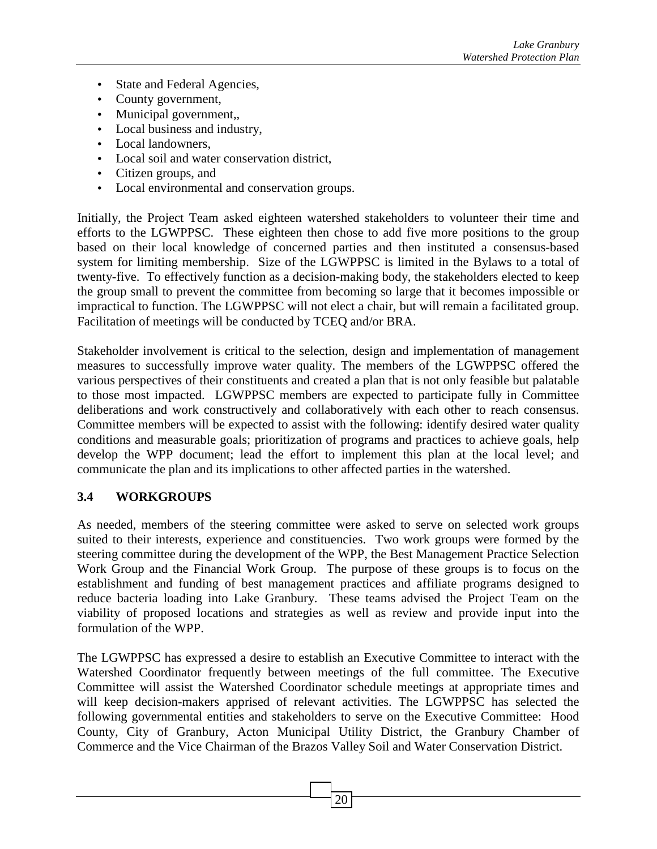- State and Federal Agencies,
- County government,
- Municipal government,,
- Local business and industry,
- Local landowners,
- Local soil and water conservation district,
- Citizen groups, and
- Local environmental and conservation groups.

Initially, the Project Team asked eighteen watershed stakeholders to volunteer their time and efforts to the LGWPPSC. These eighteen then chose to add five more positions to the group based on their local knowledge of concerned parties and then instituted a consensus-based system for limiting membership. Size of the LGWPPSC is limited in the Bylaws to a total of twenty-five. To effectively function as a decision-making body, the stakeholders elected to keep the group small to prevent the committee from becoming so large that it becomes impossible or impractical to function. The LGWPPSC will not elect a chair, but will remain a facilitated group. Facilitation of meetings will be conducted by TCEQ and/or BRA.

Stakeholder involvement is critical to the selection, design and implementation of management measures to successfully improve water quality. The members of the LGWPPSC offered the various perspectives of their constituents and created a plan that is not only feasible but palatable to those most impacted. LGWPPSC members are expected to participate fully in Committee deliberations and work constructively and collaboratively with each other to reach consensus. Committee members will be expected to assist with the following: identify desired water quality conditions and measurable goals; prioritization of programs and practices to achieve goals, help develop the WPP document; lead the effort to implement this plan at the local level; and communicate the plan and its implications to other affected parties in the watershed.

#### **3.4 WORKGROUPS**

As needed, members of the steering committee were asked to serve on selected work groups suited to their interests, experience and constituencies. Two work groups were formed by the steering committee during the development of the WPP, the Best Management Practice Selection Work Group and the Financial Work Group. The purpose of these groups is to focus on the establishment and funding of best management practices and affiliate programs designed to reduce bacteria loading into Lake Granbury. These teams advised the Project Team on the viability of proposed locations and strategies as well as review and provide input into the formulation of the WPP.

The LGWPPSC has expressed a desire to establish an Executive Committee to interact with the Watershed Coordinator frequently between meetings of the full committee. The Executive Committee will assist the Watershed Coordinator schedule meetings at appropriate times and will keep decision-makers apprised of relevant activities. The LGWPPSC has selected the following governmental entities and stakeholders to serve on the Executive Committee: Hood County, City of Granbury, Acton Municipal Utility District, the Granbury Chamber of Commerce and the Vice Chairman of the Brazos Valley Soil and Water Conservation District.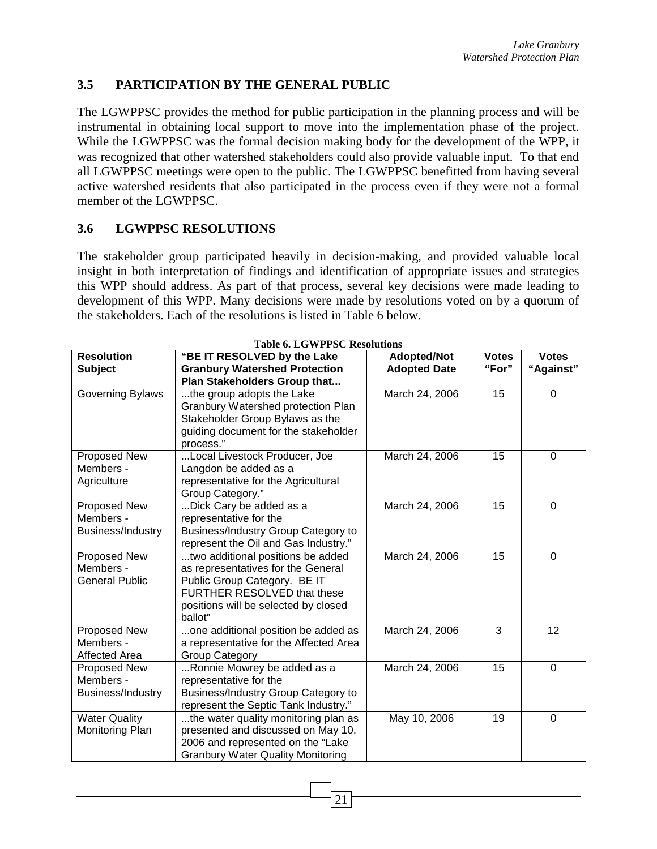### **3.5 PARTICIPATION BY THE GENERAL PUBLIC**

The LGWPPSC provides the method for public participation in the planning process and will be instrumental in obtaining local support to move into the implementation phase of the project. While the LGWPPSC was the formal decision making body for the development of the WPP, it was recognized that other watershed stakeholders could also provide valuable input. To that end all LGWPPSC meetings were open to the public. The LGWPPSC benefitted from having several active watershed residents that also participated in the process even if they were not a formal member of the LGWPPSC.

#### **3.6 LGWPPSC RESOLUTIONS**

The stakeholder group participated heavily in decision-making, and provided valuable local insight in both interpretation of findings and identification of appropriate issues and strategies this WPP should address. As part of that process, several key decisions were made leading to development of this WPP. Many decisions were made by resolutions voted on by a quorum of the stakeholders. Each of the resolutions is listed in Table 6 below.

| "BE IT RESOLVED by the Lake              | <b>Adopted/Not</b>                                                                                                                                                                                                                                                                                                                                                                                                                                                                                                                                                                                                                                                                                                                                                                                                                                                                                                                                                                                                                                                       | <b>Votes</b>                                                                                                                                                                    | <b>Votes</b>                                   |
|------------------------------------------|--------------------------------------------------------------------------------------------------------------------------------------------------------------------------------------------------------------------------------------------------------------------------------------------------------------------------------------------------------------------------------------------------------------------------------------------------------------------------------------------------------------------------------------------------------------------------------------------------------------------------------------------------------------------------------------------------------------------------------------------------------------------------------------------------------------------------------------------------------------------------------------------------------------------------------------------------------------------------------------------------------------------------------------------------------------------------|---------------------------------------------------------------------------------------------------------------------------------------------------------------------------------|------------------------------------------------|
|                                          |                                                                                                                                                                                                                                                                                                                                                                                                                                                                                                                                                                                                                                                                                                                                                                                                                                                                                                                                                                                                                                                                          |                                                                                                                                                                                 | "Against"                                      |
|                                          |                                                                                                                                                                                                                                                                                                                                                                                                                                                                                                                                                                                                                                                                                                                                                                                                                                                                                                                                                                                                                                                                          |                                                                                                                                                                                 |                                                |
|                                          |                                                                                                                                                                                                                                                                                                                                                                                                                                                                                                                                                                                                                                                                                                                                                                                                                                                                                                                                                                                                                                                                          |                                                                                                                                                                                 | $\Omega$                                       |
|                                          |                                                                                                                                                                                                                                                                                                                                                                                                                                                                                                                                                                                                                                                                                                                                                                                                                                                                                                                                                                                                                                                                          |                                                                                                                                                                                 |                                                |
|                                          |                                                                                                                                                                                                                                                                                                                                                                                                                                                                                                                                                                                                                                                                                                                                                                                                                                                                                                                                                                                                                                                                          |                                                                                                                                                                                 |                                                |
|                                          |                                                                                                                                                                                                                                                                                                                                                                                                                                                                                                                                                                                                                                                                                                                                                                                                                                                                                                                                                                                                                                                                          |                                                                                                                                                                                 |                                                |
|                                          |                                                                                                                                                                                                                                                                                                                                                                                                                                                                                                                                                                                                                                                                                                                                                                                                                                                                                                                                                                                                                                                                          |                                                                                                                                                                                 |                                                |
|                                          |                                                                                                                                                                                                                                                                                                                                                                                                                                                                                                                                                                                                                                                                                                                                                                                                                                                                                                                                                                                                                                                                          |                                                                                                                                                                                 | $\Omega$                                       |
|                                          |                                                                                                                                                                                                                                                                                                                                                                                                                                                                                                                                                                                                                                                                                                                                                                                                                                                                                                                                                                                                                                                                          |                                                                                                                                                                                 |                                                |
|                                          |                                                                                                                                                                                                                                                                                                                                                                                                                                                                                                                                                                                                                                                                                                                                                                                                                                                                                                                                                                                                                                                                          |                                                                                                                                                                                 |                                                |
|                                          |                                                                                                                                                                                                                                                                                                                                                                                                                                                                                                                                                                                                                                                                                                                                                                                                                                                                                                                                                                                                                                                                          |                                                                                                                                                                                 |                                                |
|                                          |                                                                                                                                                                                                                                                                                                                                                                                                                                                                                                                                                                                                                                                                                                                                                                                                                                                                                                                                                                                                                                                                          |                                                                                                                                                                                 | 0                                              |
|                                          |                                                                                                                                                                                                                                                                                                                                                                                                                                                                                                                                                                                                                                                                                                                                                                                                                                                                                                                                                                                                                                                                          |                                                                                                                                                                                 |                                                |
|                                          |                                                                                                                                                                                                                                                                                                                                                                                                                                                                                                                                                                                                                                                                                                                                                                                                                                                                                                                                                                                                                                                                          |                                                                                                                                                                                 |                                                |
|                                          |                                                                                                                                                                                                                                                                                                                                                                                                                                                                                                                                                                                                                                                                                                                                                                                                                                                                                                                                                                                                                                                                          |                                                                                                                                                                                 |                                                |
|                                          |                                                                                                                                                                                                                                                                                                                                                                                                                                                                                                                                                                                                                                                                                                                                                                                                                                                                                                                                                                                                                                                                          |                                                                                                                                                                                 | $\overline{0}$                                 |
|                                          |                                                                                                                                                                                                                                                                                                                                                                                                                                                                                                                                                                                                                                                                                                                                                                                                                                                                                                                                                                                                                                                                          |                                                                                                                                                                                 |                                                |
|                                          |                                                                                                                                                                                                                                                                                                                                                                                                                                                                                                                                                                                                                                                                                                                                                                                                                                                                                                                                                                                                                                                                          |                                                                                                                                                                                 |                                                |
|                                          |                                                                                                                                                                                                                                                                                                                                                                                                                                                                                                                                                                                                                                                                                                                                                                                                                                                                                                                                                                                                                                                                          |                                                                                                                                                                                 |                                                |
|                                          |                                                                                                                                                                                                                                                                                                                                                                                                                                                                                                                                                                                                                                                                                                                                                                                                                                                                                                                                                                                                                                                                          |                                                                                                                                                                                 |                                                |
|                                          |                                                                                                                                                                                                                                                                                                                                                                                                                                                                                                                                                                                                                                                                                                                                                                                                                                                                                                                                                                                                                                                                          |                                                                                                                                                                                 |                                                |
|                                          |                                                                                                                                                                                                                                                                                                                                                                                                                                                                                                                                                                                                                                                                                                                                                                                                                                                                                                                                                                                                                                                                          |                                                                                                                                                                                 | 12                                             |
|                                          |                                                                                                                                                                                                                                                                                                                                                                                                                                                                                                                                                                                                                                                                                                                                                                                                                                                                                                                                                                                                                                                                          |                                                                                                                                                                                 |                                                |
|                                          |                                                                                                                                                                                                                                                                                                                                                                                                                                                                                                                                                                                                                                                                                                                                                                                                                                                                                                                                                                                                                                                                          |                                                                                                                                                                                 | $\overline{0}$                                 |
|                                          |                                                                                                                                                                                                                                                                                                                                                                                                                                                                                                                                                                                                                                                                                                                                                                                                                                                                                                                                                                                                                                                                          |                                                                                                                                                                                 |                                                |
|                                          |                                                                                                                                                                                                                                                                                                                                                                                                                                                                                                                                                                                                                                                                                                                                                                                                                                                                                                                                                                                                                                                                          |                                                                                                                                                                                 |                                                |
|                                          |                                                                                                                                                                                                                                                                                                                                                                                                                                                                                                                                                                                                                                                                                                                                                                                                                                                                                                                                                                                                                                                                          |                                                                                                                                                                                 |                                                |
|                                          |                                                                                                                                                                                                                                                                                                                                                                                                                                                                                                                                                                                                                                                                                                                                                                                                                                                                                                                                                                                                                                                                          |                                                                                                                                                                                 | $\overline{0}$                                 |
|                                          |                                                                                                                                                                                                                                                                                                                                                                                                                                                                                                                                                                                                                                                                                                                                                                                                                                                                                                                                                                                                                                                                          |                                                                                                                                                                                 |                                                |
|                                          |                                                                                                                                                                                                                                                                                                                                                                                                                                                                                                                                                                                                                                                                                                                                                                                                                                                                                                                                                                                                                                                                          |                                                                                                                                                                                 |                                                |
| <b>Granbury Water Quality Monitoring</b> |                                                                                                                                                                                                                                                                                                                                                                                                                                                                                                                                                                                                                                                                                                                                                                                                                                                                                                                                                                                                                                                                          |                                                                                                                                                                                 |                                                |
|                                          | <b>Granbury Watershed Protection</b><br>Plan Stakeholders Group that<br>the group adopts the Lake<br>Granbury Watershed protection Plan<br>Stakeholder Group Bylaws as the<br>guiding document for the stakeholder<br>process."<br>Local Livestock Producer, Joe<br>Langdon be added as a<br>representative for the Agricultural<br>Group Category."<br>Dick Cary be added as a<br>representative for the<br><b>Business/Industry Group Category to</b><br>represent the Oil and Gas Industry."<br>two additional positions be added<br>as representatives for the General<br>Public Group Category. BE IT<br>FURTHER RESOLVED that these<br>positions will be selected by closed<br>ballot"<br>one additional position be added as<br>a representative for the Affected Area<br><b>Group Category</b><br>Ronnie Mowrey be added as a<br>representative for the<br><b>Business/Industry Group Category to</b><br>represent the Septic Tank Industry."<br>the water quality monitoring plan as<br>presented and discussed on May 10,<br>2006 and represented on the "Lake | Table 6. LGWPPSC Resolutions<br><b>Adopted Date</b><br>March 24, 2006<br>March 24, 2006<br>March 24, 2006<br>March 24, 2006<br>March 24, 2006<br>March 24, 2006<br>May 10, 2006 | "For"<br>15<br>15<br>15<br>15<br>3<br>15<br>19 |

**Table 6. LGWPPSC Resolutions**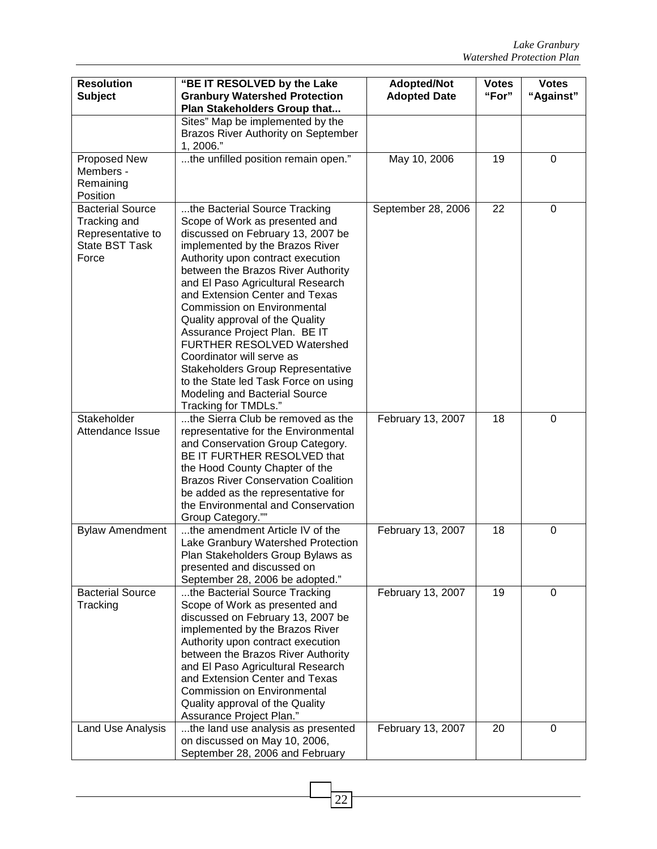| <b>Resolution</b><br><b>Subject</b>                                                            | "BE IT RESOLVED by the Lake<br><b>Granbury Watershed Protection</b>                                                                                                                                                                                                                                                                                                                                                                                                                                                                                                                                  | <b>Adopted/Not</b><br><b>Adopted Date</b> | <b>Votes</b><br>"For" | <b>Votes</b><br>"Against" |
|------------------------------------------------------------------------------------------------|------------------------------------------------------------------------------------------------------------------------------------------------------------------------------------------------------------------------------------------------------------------------------------------------------------------------------------------------------------------------------------------------------------------------------------------------------------------------------------------------------------------------------------------------------------------------------------------------------|-------------------------------------------|-----------------------|---------------------------|
|                                                                                                | Plan Stakeholders Group that<br>Sites" Map be implemented by the<br>Brazos River Authority on September<br>1, 2006."                                                                                                                                                                                                                                                                                                                                                                                                                                                                                 |                                           |                       |                           |
| Proposed New<br>Members -<br>Remaining<br>Position                                             | the unfilled position remain open."                                                                                                                                                                                                                                                                                                                                                                                                                                                                                                                                                                  | May 10, 2006                              | 19                    | 0                         |
| <b>Bacterial Source</b><br>Tracking and<br>Representative to<br><b>State BST Task</b><br>Force | the Bacterial Source Tracking<br>Scope of Work as presented and<br>discussed on February 13, 2007 be<br>implemented by the Brazos River<br>Authority upon contract execution<br>between the Brazos River Authority<br>and El Paso Agricultural Research<br>and Extension Center and Texas<br><b>Commission on Environmental</b><br>Quality approval of the Quality<br>Assurance Project Plan. BE IT<br>FURTHER RESOLVED Watershed<br>Coordinator will serve as<br>Stakeholders Group Representative<br>to the State led Task Force on using<br>Modeling and Bacterial Source<br>Tracking for TMDLs." | September 28, 2006                        | 22                    | $\mathbf 0$               |
| Stakeholder<br>Attendance Issue                                                                | the Sierra Club be removed as the<br>representative for the Environmental<br>and Conservation Group Category.<br>BE IT FURTHER RESOLVED that<br>the Hood County Chapter of the<br><b>Brazos River Conservation Coalition</b><br>be added as the representative for<br>the Environmental and Conservation<br>Group Category.""                                                                                                                                                                                                                                                                        | February 13, 2007                         | 18                    | 0                         |
| <b>Bylaw Amendment</b>                                                                         | the amendment Article IV of the<br>Lake Granbury Watershed Protection<br>Plan Stakeholders Group Bylaws as<br>presented and discussed on<br>September 28, 2006 be adopted."                                                                                                                                                                                                                                                                                                                                                                                                                          | February 13, 2007                         | 18                    | $\mathbf 0$               |
| <b>Bacterial Source</b><br>Tracking                                                            | the Bacterial Source Tracking<br>Scope of Work as presented and<br>discussed on February 13, 2007 be<br>implemented by the Brazos River<br>Authority upon contract execution<br>between the Brazos River Authority<br>and El Paso Agricultural Research<br>and Extension Center and Texas<br><b>Commission on Environmental</b><br>Quality approval of the Quality<br>Assurance Project Plan."                                                                                                                                                                                                       | February 13, 2007                         | 19                    | $\Omega$                  |
| Land Use Analysis                                                                              | the land use analysis as presented<br>on discussed on May 10, 2006,<br>September 28, 2006 and February                                                                                                                                                                                                                                                                                                                                                                                                                                                                                               | February 13, 2007                         | 20                    | 0                         |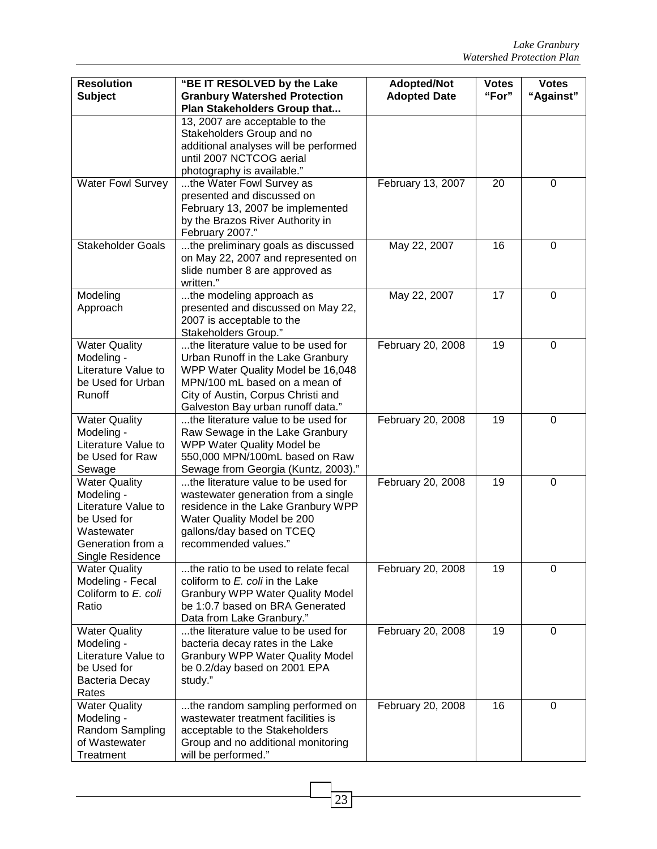| <b>Resolution</b><br><b>Subject</b> | "BE IT RESOLVED by the Lake<br><b>Granbury Watershed Protection</b>    | <b>Adopted/Not</b><br><b>Adopted Date</b> | <b>Votes</b><br>"For" | <b>Votes</b><br>"Against" |
|-------------------------------------|------------------------------------------------------------------------|-------------------------------------------|-----------------------|---------------------------|
|                                     | Plan Stakeholders Group that                                           |                                           |                       |                           |
|                                     | 13, 2007 are acceptable to the                                         |                                           |                       |                           |
|                                     | Stakeholders Group and no                                              |                                           |                       |                           |
|                                     | additional analyses will be performed                                  |                                           |                       |                           |
|                                     | until 2007 NCTCOG aerial                                               |                                           |                       |                           |
|                                     | photography is available."                                             |                                           |                       |                           |
| <b>Water Fowl Survey</b>            | the Water Fowl Survey as                                               | February 13, 2007                         | 20                    | $\mathbf 0$               |
|                                     | presented and discussed on                                             |                                           |                       |                           |
|                                     | February 13, 2007 be implemented                                       |                                           |                       |                           |
|                                     | by the Brazos River Authority in                                       |                                           |                       |                           |
|                                     | February 2007."                                                        |                                           |                       |                           |
| <b>Stakeholder Goals</b>            | the preliminary goals as discussed                                     | May 22, 2007                              | 16                    | 0                         |
|                                     | on May 22, 2007 and represented on                                     |                                           |                       |                           |
|                                     | slide number 8 are approved as                                         |                                           |                       |                           |
|                                     | written."                                                              |                                           |                       |                           |
| Modeling                            | the modeling approach as                                               | May 22, 2007                              | 17                    | 0                         |
| Approach                            | presented and discussed on May 22,                                     |                                           |                       |                           |
|                                     | 2007 is acceptable to the                                              |                                           |                       |                           |
|                                     | Stakeholders Group."<br>the literature value to be used for            |                                           |                       |                           |
| <b>Water Quality</b>                |                                                                        | February 20, 2008                         | 19                    | 0                         |
| Modeling -<br>Literature Value to   | Urban Runoff in the Lake Granbury<br>WPP Water Quality Model be 16,048 |                                           |                       |                           |
| be Used for Urban                   | MPN/100 mL based on a mean of                                          |                                           |                       |                           |
| Runoff                              | City of Austin, Corpus Christi and                                     |                                           |                       |                           |
|                                     | Galveston Bay urban runoff data."                                      |                                           |                       |                           |
| <b>Water Quality</b>                | the literature value to be used for                                    | February 20, 2008                         | 19                    | $\overline{0}$            |
| Modeling -                          | Raw Sewage in the Lake Granbury                                        |                                           |                       |                           |
| Literature Value to                 | WPP Water Quality Model be                                             |                                           |                       |                           |
| be Used for Raw                     | 550,000 MPN/100mL based on Raw                                         |                                           |                       |                           |
| Sewage                              | Sewage from Georgia (Kuntz, 2003)."                                    |                                           |                       |                           |
| <b>Water Quality</b>                | the literature value to be used for                                    | February 20, 2008                         | 19                    | 0                         |
| Modeling -                          | wastewater generation from a single                                    |                                           |                       |                           |
| Literature Value to                 | residence in the Lake Granbury WPP                                     |                                           |                       |                           |
| be Used for                         | Water Quality Model be 200                                             |                                           |                       |                           |
| Wastewater                          | gallons/day based on TCEQ                                              |                                           |                       |                           |
| Generation from a                   | recommended values."                                                   |                                           |                       |                           |
| Single Residence                    |                                                                        |                                           |                       |                           |
| <b>Water Quality</b>                | the ratio to be used to relate fecal                                   | February 20, 2008                         | 19                    | 0                         |
| Modeling - Fecal                    | coliform to E. coli in the Lake                                        |                                           |                       |                           |
| Coliform to E. coli                 | <b>Granbury WPP Water Quality Model</b>                                |                                           |                       |                           |
| Ratio                               | be 1:0.7 based on BRA Generated                                        |                                           |                       |                           |
|                                     | Data from Lake Granbury."                                              |                                           |                       |                           |
| <b>Water Quality</b>                | the literature value to be used for                                    | February 20, 2008                         | 19                    | $\Omega$                  |
| Modeling -                          | bacteria decay rates in the Lake                                       |                                           |                       |                           |
| Literature Value to                 | <b>Granbury WPP Water Quality Model</b>                                |                                           |                       |                           |
| be Used for                         | be 0.2/day based on 2001 EPA                                           |                                           |                       |                           |
| Bacteria Decay<br>Rates             | study."                                                                |                                           |                       |                           |
| <b>Water Quality</b>                | the random sampling performed on                                       | February 20, 2008                         | 16                    | 0                         |
| Modeling -                          | wastewater treatment facilities is                                     |                                           |                       |                           |
| Random Sampling                     | acceptable to the Stakeholders                                         |                                           |                       |                           |
| of Wastewater                       | Group and no additional monitoring                                     |                                           |                       |                           |
| Treatment                           | will be performed."                                                    |                                           |                       |                           |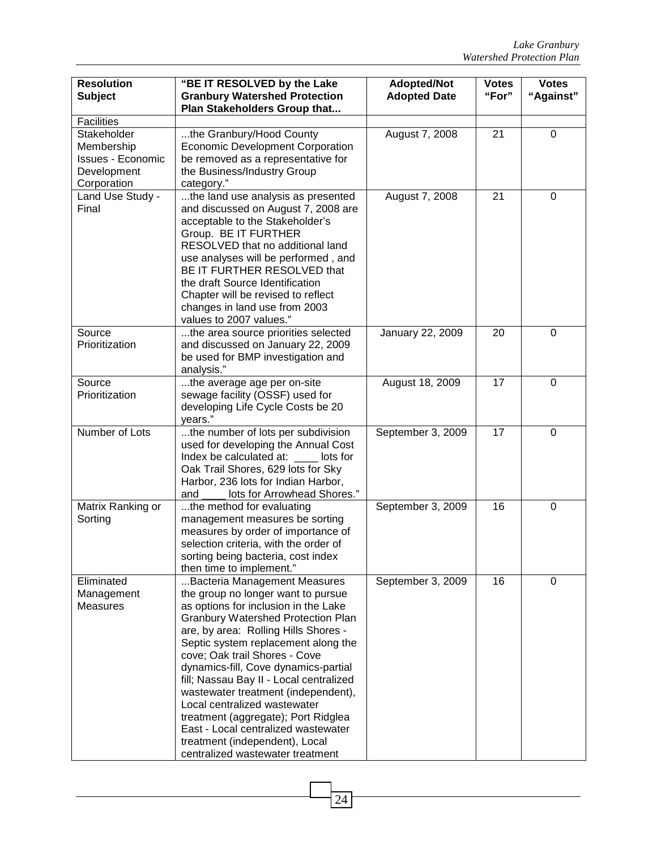| <b>Resolution</b><br><b>Subject</b>                                                 | "BE IT RESOLVED by the Lake<br><b>Granbury Watershed Protection</b><br>Plan Stakeholders Group that                                                                                                                                                                                                                                                                                                                                                                                                                                                                                   | <b>Adopted/Not</b><br><b>Adopted Date</b> | <b>Votes</b><br>"For" | <b>Votes</b><br>"Against" |
|-------------------------------------------------------------------------------------|---------------------------------------------------------------------------------------------------------------------------------------------------------------------------------------------------------------------------------------------------------------------------------------------------------------------------------------------------------------------------------------------------------------------------------------------------------------------------------------------------------------------------------------------------------------------------------------|-------------------------------------------|-----------------------|---------------------------|
| Facilities                                                                          |                                                                                                                                                                                                                                                                                                                                                                                                                                                                                                                                                                                       |                                           |                       |                           |
| Stakeholder<br>Membership<br><b>Issues - Economic</b><br>Development<br>Corporation | the Granbury/Hood County<br><b>Economic Development Corporation</b><br>be removed as a representative for<br>the Business/Industry Group<br>category."                                                                                                                                                                                                                                                                                                                                                                                                                                | August 7, 2008                            | 21                    | 0                         |
| Land Use Study -<br>Final                                                           | the land use analysis as presented<br>and discussed on August 7, 2008 are<br>acceptable to the Stakeholder's<br>Group. BE IT FURTHER<br>RESOLVED that no additional land<br>use analyses will be performed, and<br>BE IT FURTHER RESOLVED that<br>the draft Source Identification<br>Chapter will be revised to reflect<br>changes in land use from 2003<br>values to 2007 values."                                                                                                                                                                                                   | August 7, 2008                            | 21                    | $\mathbf 0$               |
| Source<br>Prioritization                                                            | the area source priorities selected<br>and discussed on January 22, 2009<br>be used for BMP investigation and<br>analysis."                                                                                                                                                                                                                                                                                                                                                                                                                                                           | January 22, 2009                          | 20                    | $\mathbf 0$               |
| Source<br>Prioritization                                                            | the average age per on-site<br>sewage facility (OSSF) used for<br>developing Life Cycle Costs be 20<br>years."                                                                                                                                                                                                                                                                                                                                                                                                                                                                        | August 18, 2009                           | 17                    | $\mathbf 0$               |
| Number of Lots                                                                      | the number of lots per subdivision<br>used for developing the Annual Cost<br>Index be calculated at: lots for<br>Oak Trail Shores, 629 lots for Sky<br>Harbor, 236 lots for Indian Harbor,<br>lots for Arrowhead Shores."<br>and                                                                                                                                                                                                                                                                                                                                                      | September 3, 2009                         | 17                    | $\mathbf 0$               |
| Matrix Ranking or<br>Sorting                                                        | the method for evaluating<br>management measures be sorting<br>measures by order of importance of<br>selection criteria, with the order of<br>sorting being bacteria, cost index<br>then time to implement."                                                                                                                                                                                                                                                                                                                                                                          | September 3, 2009                         | 16                    | $\pmb{0}$                 |
| Eliminated<br>Management<br><b>Measures</b>                                         | Bacteria Management Measures<br>the group no longer want to pursue<br>as options for inclusion in the Lake<br><b>Granbury Watershed Protection Plan</b><br>are, by area: Rolling Hills Shores -<br>Septic system replacement along the<br>cove; Oak trail Shores - Cove<br>dynamics-fill, Cove dynamics-partial<br>fill; Nassau Bay II - Local centralized<br>wastewater treatment (independent),<br>Local centralized wastewater<br>treatment (aggregate); Port Ridglea<br>East - Local centralized wastewater<br>treatment (independent), Local<br>centralized wastewater treatment | September 3, 2009                         | 16                    | 0                         |